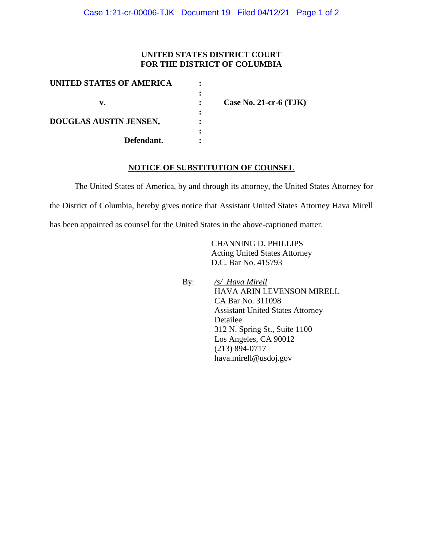## **UNITED STATES DISTRICT COURT FOR THE DISTRICT OF COLUMBIA**

| UNITED STATES OF AMERICA |                          |
|--------------------------|--------------------------|
|                          |                          |
| v.                       | Case No. 21-cr-6 $(TJK)$ |
|                          |                          |
| DOUGLAS AUSTIN JENSEN,   |                          |
|                          |                          |
| Defendant.               |                          |

## **NOTICE OF SUBSTITUTION OF COUNSEL**

The United States of America, by and through its attorney, the United States Attorney for

the District of Columbia, hereby gives notice that Assistant United States Attorney Hava Mirell

has been appointed as counsel for the United States in the above-captioned matter.

 CHANNING D. PHILLIPS Acting United States Attorney D.C. Bar No. 415793

 By: */s/ Hava Mirell* HAVA ARIN LEVENSON MIRELL CA Bar No. 311098 Assistant United States Attorney Detailee 312 N. Spring St., Suite 1100 Los Angeles, CA 90012 (213) 894-0717 hava.mirell@usdoj.gov